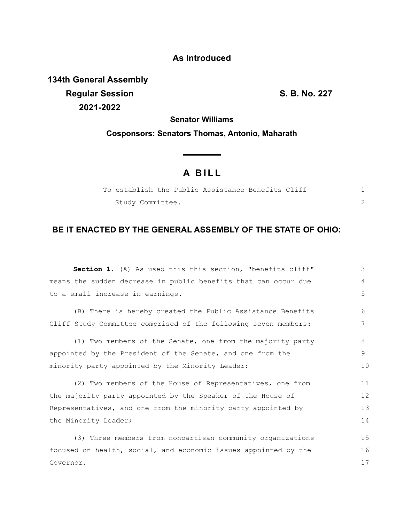## **As Introduced**

**134th General Assembly Regular Session S. B. No. 227 2021-2022**

**Senator Williams**

**Cosponsors: Senators Thomas, Antonio, Maharath**

## **A B I L L**

|  |                  |  | To establish the Public Assistance Benefits Cliff |  |  |
|--|------------------|--|---------------------------------------------------|--|--|
|  | Study Committee. |  |                                                   |  |  |

## **BE IT ENACTED BY THE GENERAL ASSEMBLY OF THE STATE OF OHIO:**

| <b>Section 1.</b> (A) As used this this section, "benefits cliff" | 3  |
|-------------------------------------------------------------------|----|
| means the sudden decrease in public benefits that can occur due   | 4  |
| to a small increase in earnings.                                  | 5  |
| (B) There is hereby created the Public Assistance Benefits        | 6  |
| Cliff Study Committee comprised of the following seven members:   | 7  |
| (1) Two members of the Senate, one from the majority party        | 8  |
| appointed by the President of the Senate, and one from the        | 9  |
| minority party appointed by the Minority Leader;                  | 10 |
| (2) Two members of the House of Representatives, one from         | 11 |
| the majority party appointed by the Speaker of the House of       | 12 |
| Representatives, and one from the minority party appointed by     | 13 |
| the Minority Leader;                                              | 14 |
| (3) Three members from nonpartisan community organizations        | 15 |
| focused on health, social, and economic issues appointed by the   | 16 |
| Governor.                                                         | 17 |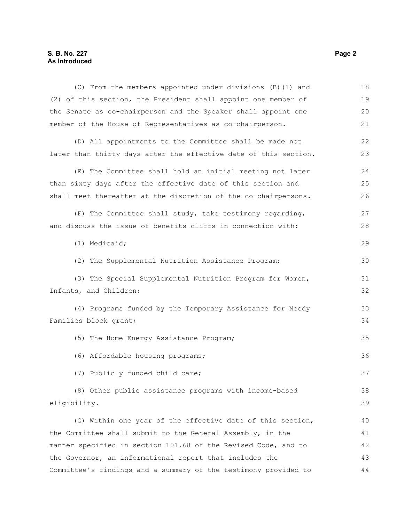## **S. B. No. 227 Page 2 As Introduced**

| (C) From the members appointed under divisions (B) (1) and       | 18 |
|------------------------------------------------------------------|----|
| (2) of this section, the President shall appoint one member of   | 19 |
| the Senate as co-chairperson and the Speaker shall appoint one   | 20 |
| member of the House of Representatives as co-chairperson.        | 21 |
| (D) All appointments to the Committee shall be made not          | 22 |
| later than thirty days after the effective date of this section. | 23 |
| (E) The Committee shall hold an initial meeting not later        | 24 |
| than sixty days after the effective date of this section and     | 25 |
| shall meet thereafter at the discretion of the co-chairpersons.  | 26 |
| (F) The Committee shall study, take testimony regarding,         | 27 |
| and discuss the issue of benefits cliffs in connection with:     | 28 |
| (1) Medicaid;                                                    | 29 |
| (2) The Supplemental Nutrition Assistance Program;               | 30 |
| (3) The Special Supplemental Nutrition Program for Women,        | 31 |
| Infants, and Children;                                           | 32 |
| (4) Programs funded by the Temporary Assistance for Needy        | 33 |
| Families block grant;                                            | 34 |
| (5) The Home Energy Assistance Program;                          | 35 |
| (6) Affordable housing programs;                                 | 36 |
| (7) Publicly funded child care;                                  | 37 |
| (8) Other public assistance programs with income-based           | 38 |
| eligibility.                                                     | 39 |
| (G) Within one year of the effective date of this section,       | 40 |
| the Committee shall submit to the General Assembly, in the       | 41 |
| manner specified in section 101.68 of the Revised Code, and to   | 42 |
| the Governor, an informational report that includes the          | 43 |
| Committee's findings and a summary of the testimony provided to  | 44 |